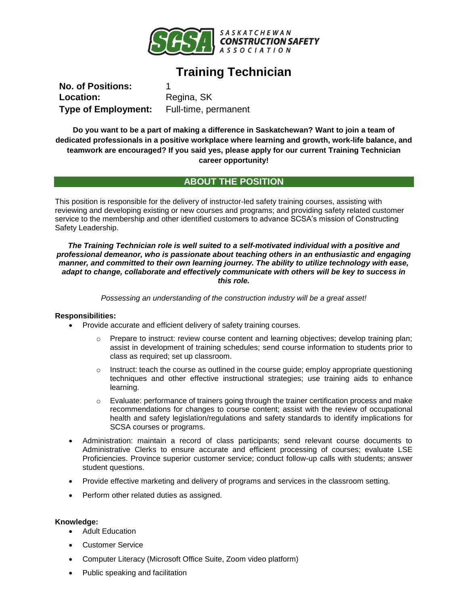

# **Training Technician**

**No. of Positions:** 1 Location: Regina, SK **Type of Employment:** Full-time, permanent

**Do you want to be a part of making a difference in Saskatchewan? Want to join a team of dedicated professionals in a positive workplace where learning and growth, work-life balance, and teamwork are encouraged? If you said yes, please apply for our current Training Technician career opportunity!**

# **ABOUT THE POSITION**

This position is responsible for the delivery of instructor-led safety training courses, assisting with reviewing and developing existing or new courses and programs; and providing safety related customer service to the membership and other identified customers to advance SCSA's mission of Constructing Safety Leadership.

*The Training Technician role is well suited to a self-motivated individual with a positive and professional demeanor, who is passionate about teaching others in an enthusiastic and engaging manner, and committed to their own learning journey. The ability to utilize technology with ease, adapt to change, collaborate and effectively communicate with others will be key to success in this role.*

*Possessing an understanding of the construction industry will be a great asset!*

## **Responsibilities:**

- Provide accurate and efficient delivery of safety training courses.
	- $\circ$  Prepare to instruct: review course content and learning objectives; develop training plan; assist in development of training schedules; send course information to students prior to class as required; set up classroom.
	- $\circ$  Instruct: teach the course as outlined in the course guide; employ appropriate questioning techniques and other effective instructional strategies; use training aids to enhance learning.
	- o Evaluate: performance of trainers going through the trainer certification process and make recommendations for changes to course content; assist with the review of occupational health and safety legislation/regulations and safety standards to identify implications for SCSA courses or programs.
- Administration: maintain a record of class participants; send relevant course documents to Administrative Clerks to ensure accurate and efficient processing of courses; evaluate LSE Proficiencies. Province superior customer service; conduct follow-up calls with students; answer student questions.
- Provide effective marketing and delivery of programs and services in the classroom setting.
- Perform other related duties as assigned.

## **Knowledge:**

- Adult Education
- Customer Service
- Computer Literacy (Microsoft Office Suite, Zoom video platform)
- Public speaking and facilitation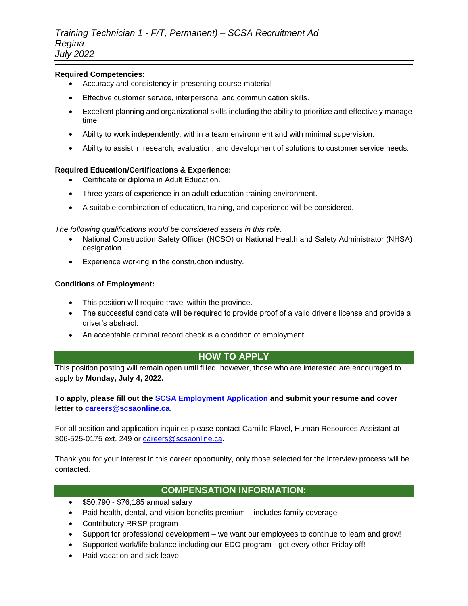## **Required Competencies:**

- Accuracy and consistency in presenting course material
- Effective customer service, interpersonal and communication skills.
- Excellent planning and organizational skills including the ability to prioritize and effectively manage time.
- Ability to work independently, within a team environment and with minimal supervision.
- Ability to assist in research, evaluation, and development of solutions to customer service needs.

## **Required Education/Certifications & Experience:**

- Certificate or diploma in Adult Education.
- Three years of experience in an adult education training environment.
- A suitable combination of education, training, and experience will be considered.

#### *The following qualifications would be considered assets in this role.*

- National Construction Safety Officer (NCSO) or National Health and Safety Administrator (NHSA) designation.
- Experience working in the construction industry.

#### **Conditions of Employment:**

- This position will require travel within the province.
- The successful candidate will be required to provide proof of a valid driver's license and provide a driver's abstract.
- An acceptable criminal record check is a condition of employment.

# **HOW TO APPLY**

This position posting will remain open until filled, however, those who are interested are encouraged to apply by **Monday, July 4, 2022.** 

# **To apply, please fill out the [SCSA Employment Application](https://forms.office.com/r/zLzw6wBDMv) and submit your resume and cover letter to [careers@scsaonline.ca.](mailto:careers@scsaonline.ca)**

For all position and application inquiries please contact Camille Flavel, Human Resources Assistant at 306-525-0175 ext. 249 or [careers@scsaonline.ca.](mailto:careers@scsaonline.ca)

Thank you for your interest in this career opportunity, only those selected for the interview process will be contacted.

# **COMPENSATION INFORMATION:**

- \$50,790 \$76,185 annual salary
- Paid health, dental, and vision benefits premium includes family coverage
- Contributory RRSP program
- Support for professional development we want our employees to continue to learn and grow!
- Supported work/life balance including our EDO program get every other Friday off!
- Paid vacation and sick leave